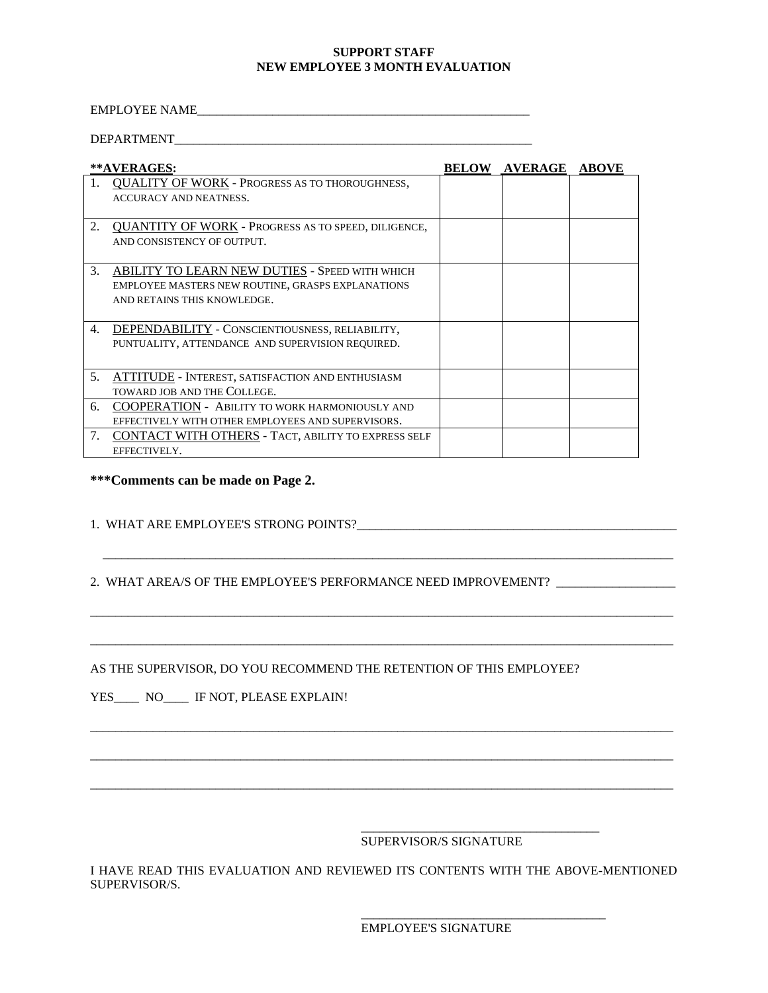## **SUPPORT STAFF NEW EMPLOYEE 3 MONTH EVALUATION**

## EMPLOYEE NAME\_\_\_\_\_\_\_\_\_\_\_\_\_\_\_\_\_\_\_\_\_\_\_\_\_\_\_\_\_\_\_\_\_\_\_\_\_\_\_\_\_\_\_\_\_\_\_\_\_\_\_\_\_

## DEPARTMENT

|                | **AVERAGES:                                           | <b>BELOW AVERAGE ABOVE</b> |  |
|----------------|-------------------------------------------------------|----------------------------|--|
|                | <b>QUALITY OF WORK - PROGRESS AS TO THOROUGHNESS,</b> |                            |  |
|                | <b>ACCURACY AND NEATNESS.</b>                         |                            |  |
|                |                                                       |                            |  |
| 2.             | QUANTITY OF WORK - PROGRESS AS TO SPEED, DILIGENCE,   |                            |  |
|                | AND CONSISTENCY OF OUTPUT.                            |                            |  |
|                |                                                       |                            |  |
| 3.             | <b>ABILITY TO LEARN NEW DUTIES - SPEED WITH WHICH</b> |                            |  |
|                | EMPLOYEE MASTERS NEW ROUTINE, GRASPS EXPLANATIONS     |                            |  |
|                | AND RETAINS THIS KNOWLEDGE.                           |                            |  |
|                |                                                       |                            |  |
| 4.             | DEPENDABILITY - CONSCIENTIOUSNESS, RELIABILITY,       |                            |  |
|                | PUNTUALITY, ATTENDANCE AND SUPERVISION REQUIRED.      |                            |  |
|                |                                                       |                            |  |
| 5 <sub>1</sub> | ATTITUDE - INTEREST, SATISFACTION AND ENTHUSIASM      |                            |  |
|                | TOWARD JOB AND THE COLLEGE.                           |                            |  |
| 6.             | COOPERATION - ABILITY TO WORK HARMONIOUSLY AND        |                            |  |
|                | EFFECTIVELY WITH OTHER EMPLOYEES AND SUPERVISORS.     |                            |  |
| 7.             | CONTACT WITH OTHERS - TACT, ABILITY TO EXPRESS SELF   |                            |  |
|                | EFFECTIVELY.                                          |                            |  |

**\*\*\*Comments can be made on Page 2.**

1. WHAT ARE EMPLOYEE'S STRONG POINTS?\_\_\_\_\_\_\_\_\_\_\_\_\_\_\_\_\_\_\_\_\_\_\_\_\_\_\_\_\_\_\_\_\_\_\_\_\_\_\_\_\_\_\_\_\_\_\_\_\_\_\_

2. WHAT AREA/S OF THE EMPLOYEE'S PERFORMANCE NEED IMPROVEMENT?

 $\overline{\phantom{a}}$  ,  $\overline{\phantom{a}}$  ,  $\overline{\phantom{a}}$  ,  $\overline{\phantom{a}}$  ,  $\overline{\phantom{a}}$  ,  $\overline{\phantom{a}}$  ,  $\overline{\phantom{a}}$  ,  $\overline{\phantom{a}}$  ,  $\overline{\phantom{a}}$  ,  $\overline{\phantom{a}}$  ,  $\overline{\phantom{a}}$  ,  $\overline{\phantom{a}}$  ,  $\overline{\phantom{a}}$  ,  $\overline{\phantom{a}}$  ,  $\overline{\phantom{a}}$  ,  $\overline{\phantom{a}}$ 

 $\_$  ,  $\_$  ,  $\_$  ,  $\_$  ,  $\_$  ,  $\_$  ,  $\_$  ,  $\_$  ,  $\_$  ,  $\_$  ,  $\_$  ,  $\_$  ,  $\_$  ,  $\_$  ,  $\_$  ,  $\_$  ,  $\_$  ,  $\_$  ,  $\_$  ,  $\_$  ,  $\_$  ,  $\_$  ,  $\_$  ,  $\_$  ,  $\_$  ,  $\_$  ,  $\_$  ,  $\_$  ,  $\_$  ,  $\_$  ,  $\_$  ,  $\_$  ,  $\_$  ,  $\_$  ,  $\_$  ,  $\_$  ,  $\_$  ,

\_\_\_\_\_\_\_\_\_\_\_\_\_\_\_\_\_\_\_\_\_\_\_\_\_\_\_\_\_\_\_\_\_\_\_\_\_\_\_\_\_\_\_\_\_\_\_\_\_\_\_\_\_\_\_\_\_\_\_\_\_\_\_\_\_\_\_\_\_\_\_\_\_\_\_\_\_\_\_\_\_\_\_\_\_\_\_\_\_\_\_\_\_

\_\_\_\_\_\_\_\_\_\_\_\_\_\_\_\_\_\_\_\_\_\_\_\_\_\_\_\_\_\_\_\_\_\_\_\_\_\_\_\_\_\_\_\_\_\_\_\_\_\_\_\_\_\_\_\_\_\_\_\_\_\_\_\_\_\_\_\_\_\_\_\_\_\_\_\_\_\_\_\_\_\_\_\_\_\_\_\_\_\_\_\_\_

 $\_$  ,  $\_$  ,  $\_$  ,  $\_$  ,  $\_$  ,  $\_$  ,  $\_$  ,  $\_$  ,  $\_$  ,  $\_$  ,  $\_$  ,  $\_$  ,  $\_$  ,  $\_$  ,  $\_$  ,  $\_$  ,  $\_$  ,  $\_$  ,  $\_$  ,  $\_$  ,  $\_$  ,  $\_$  ,  $\_$  ,  $\_$  ,  $\_$  ,  $\_$  ,  $\_$  ,  $\_$  ,  $\_$  ,  $\_$  ,  $\_$  ,  $\_$  ,  $\_$  ,  $\_$  ,  $\_$  ,  $\_$  ,  $\_$  ,

 $\_$  ,  $\_$  ,  $\_$  ,  $\_$  ,  $\_$  ,  $\_$  ,  $\_$  ,  $\_$  ,  $\_$  ,  $\_$  ,  $\_$  ,  $\_$  ,  $\_$  ,  $\_$  ,  $\_$  ,  $\_$  ,  $\_$  ,  $\_$  ,  $\_$  ,  $\_$  ,  $\_$  ,  $\_$  ,  $\_$  ,  $\_$  ,  $\_$  ,  $\_$  ,  $\_$  ,  $\_$  ,  $\_$  ,  $\_$  ,  $\_$  ,  $\_$  ,  $\_$  ,  $\_$  ,  $\_$  ,  $\_$  ,  $\_$  ,

AS THE SUPERVISOR, DO YOU RECOMMEND THE RETENTION OF THIS EMPLOYEE?

YES\_\_\_\_ NO\_\_\_\_ IF NOT, PLEASE EXPLAIN!

 $\overline{\phantom{a}}$  , and the state of the state of the state of the state of the state of the state of the state of the state of the state of the state of the state of the state of the state of the state of the state of the stat SUPERVISOR/S SIGNATURE

I HAVE READ THIS EVALUATION AND REVIEWED ITS CONTENTS WITH THE ABOVE-MENTIONED SUPERVISOR/S.

 $\_$ EMPLOYEE'S SIGNATURE